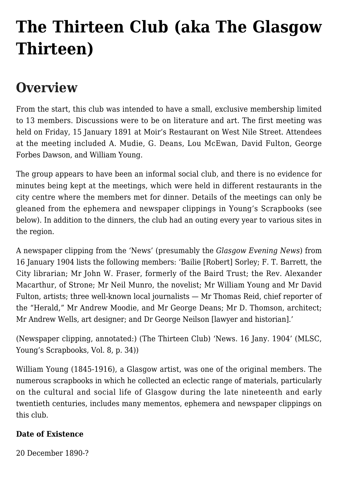# **[The Thirteen Club \(aka The Glasgow](https://www.glasgowsliterarybonds.org/societies/the-thirteen-club-aka-the-glasgow-thirteen/) [Thirteen\)](https://www.glasgowsliterarybonds.org/societies/the-thirteen-club-aka-the-glasgow-thirteen/)**

# **Overview**

From the start, this club was intended to have a small, exclusive membership limited to 13 members. Discussions were to be on literature and art. The first meeting was held on Friday, 15 January 1891 at Moir's Restaurant on West Nile Street. Attendees at the meeting included A. Mudie, G. Deans, Lou McEwan, David Fulton, George Forbes Dawson, and William Young.

The group appears to have been an informal social club, and there is no evidence for minutes being kept at the meetings, which were held in different restaurants in the city centre where the members met for dinner. Details of the meetings can only be gleaned from the ephemera and newspaper clippings in Young's Scrapbooks (see below). In addition to the dinners, the club had an outing every year to various sites in the region.

A newspaper clipping from the 'News' (presumably the *Glasgow Evening News*) from 16 January 1904 lists the following members: 'Bailie [Robert] Sorley; F. T. Barrett, the City librarian; Mr John W. Fraser, formerly of the Baird Trust; the Rev. Alexander Macarthur, of Strone; Mr Neil Munro, the novelist; Mr William Young and Mr David Fulton, artists; three well-known local journalists — Mr Thomas Reid, chief reporter of the "Herald," Mr Andrew Moodie, and Mr George Deans; Mr D. Thomson, architect; Mr Andrew Wells, art designer; and Dr George Neilson [lawyer and historian].'

(Newspaper clipping, annotated:) (The Thirteen Club) 'News. 16 Jany. 1904' (MLSC, Young's Scrapbooks, Vol. 8, p. 34))

William Young (1845-1916), a Glasgow artist, was one of the original members. The numerous scrapbooks in which he collected an eclectic range of materials, particularly on the cultural and social life of Glasgow during the late nineteenth and early twentieth centuries, includes many mementos, ephemera and newspaper clippings on this club.

# **Date of Existence**

20 December 1890-?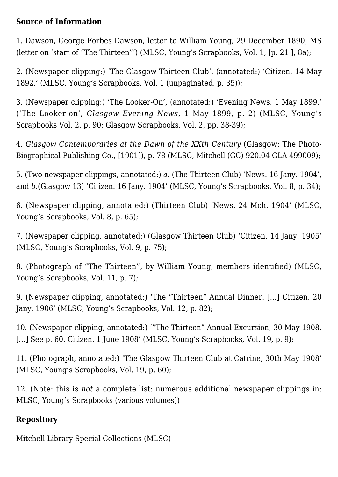#### **Source of Information**

1. Dawson, George Forbes Dawson, letter to William Young, 29 December 1890, MS (letter on 'start of "The Thirteen"') (MLSC, Young's Scrapbooks, Vol. 1, [p. 21 ], 8a);

2. (Newspaper clipping:) 'The Glasgow Thirteen Club', (annotated:) 'Citizen, 14 May 1892.' (MLSC, Young's Scrapbooks, Vol. 1 (unpaginated, p. 35));

3. (Newspaper clipping:) 'The Looker-On', (annotated:) 'Evening News. 1 May 1899.' ('The Looker-on', *Glasgow Evening News*, 1 May 1899, p. 2) (MLSC, Young's Scrapbooks Vol. 2, p. 90; Glasgow Scrapbooks, Vol. 2, pp. 38-39);

4. *Glasgow Contemporaries at the Dawn of the XXth Century* (Glasgow: The Photo-Biographical Publishing Co., [1901]), p. 78 (MLSC, Mitchell (GC) 920.04 GLA 499009);

5. (Two newspaper clippings, annotated:) *a.* (The Thirteen Club) 'News. 16 Jany. 1904', and *b.*(Glasgow 13) 'Citizen. 16 Jany. 1904' (MLSC, Young's Scrapbooks, Vol. 8, p. 34);

6. (Newspaper clipping, annotated:) (Thirteen Club) 'News. 24 Mch. 1904' (MLSC, Young's Scrapbooks, Vol. 8, p. 65);

7. (Newspaper clipping, annotated:) (Glasgow Thirteen Club) 'Citizen. 14 Jany. 1905' (MLSC, Young's Scrapbooks, Vol. 9, p. 75);

8. (Photograph of "The Thirteen", by William Young, members identified) (MLSC, Young's Scrapbooks, Vol. 11, p. 7);

9. (Newspaper clipping, annotated:) 'The "Thirteen" Annual Dinner. […] Citizen. 20 Jany. 1906' (MLSC, Young's Scrapbooks, Vol. 12, p. 82);

10. (Newspaper clipping, annotated:) '"The Thirteen" Annual Excursion, 30 May 1908. [...] See p. 60. Citizen. 1 June 1908' (MLSC, Young's Scrapbooks, Vol. 19, p. 9);

11. (Photograph, annotated:) 'The Glasgow Thirteen Club at Catrine, 30th May 1908' (MLSC, Young's Scrapbooks, Vol. 19, p. 60);

12. (Note: this is *not* a complete list: numerous additional newspaper clippings in: MLSC, Young's Scrapbooks (various volumes))

### **Repository**

Mitchell Library Special Collections (MLSC)